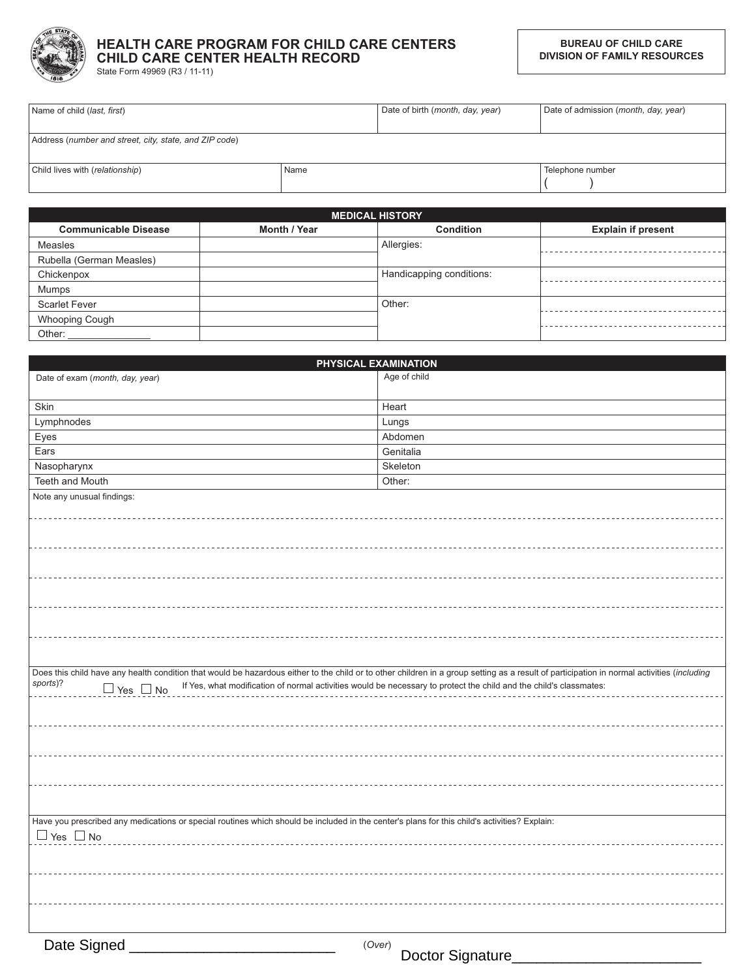

## HEALTH CARE PROGRAM FOR CHILD CARE CENTERS **CHILD CARE CENTER HEALTH RECORD**

State Form 49969 (R3 / 11-11)

| Name of child ( <i>last, first</i> )                   |      | Date of birth (month, day, year) | Date of admission (month, day, year) |
|--------------------------------------------------------|------|----------------------------------|--------------------------------------|
|                                                        |      |                                  |                                      |
| Address (number and street, city, state, and ZIP code) |      |                                  |                                      |
|                                                        |      |                                  |                                      |
| Child lives with (relationship)                        | Name |                                  | Telephone number                     |
|                                                        |      |                                  |                                      |

|                             |              | <b>MEDICAL HISTORY</b>   |                           |
|-----------------------------|--------------|--------------------------|---------------------------|
| <b>Communicable Disease</b> | Month / Year | <b>Condition</b>         | <b>Explain if present</b> |
| <b>Measles</b>              |              | Allergies:               |                           |
| Rubella (German Measles)    |              |                          |                           |
| Chickenpox                  |              | Handicapping conditions: |                           |
| Mumps                       |              |                          |                           |
| <b>Scarlet Fever</b>        |              | Other:                   |                           |
| <b>Whooping Cough</b>       |              |                          |                           |
| Other:                      |              |                          |                           |

|                                                                                                                                                                                            | PHYSICAL EXAMINATION                                                                                               |
|--------------------------------------------------------------------------------------------------------------------------------------------------------------------------------------------|--------------------------------------------------------------------------------------------------------------------|
| Date of exam (month, day, year)                                                                                                                                                            | Age of child                                                                                                       |
| Skin                                                                                                                                                                                       | Heart                                                                                                              |
| Lymphnodes                                                                                                                                                                                 | Lungs                                                                                                              |
| Eyes                                                                                                                                                                                       | Abdomen                                                                                                            |
| Ears                                                                                                                                                                                       | Genitalia                                                                                                          |
| Nasopharynx                                                                                                                                                                                | Skeleton                                                                                                           |
| Teeth and Mouth                                                                                                                                                                            | Other:                                                                                                             |
| Note any unusual findings:                                                                                                                                                                 |                                                                                                                    |
|                                                                                                                                                                                            |                                                                                                                    |
|                                                                                                                                                                                            |                                                                                                                    |
|                                                                                                                                                                                            |                                                                                                                    |
|                                                                                                                                                                                            |                                                                                                                    |
|                                                                                                                                                                                            |                                                                                                                    |
|                                                                                                                                                                                            |                                                                                                                    |
|                                                                                                                                                                                            |                                                                                                                    |
|                                                                                                                                                                                            |                                                                                                                    |
|                                                                                                                                                                                            |                                                                                                                    |
|                                                                                                                                                                                            |                                                                                                                    |
|                                                                                                                                                                                            |                                                                                                                    |
| Does this child have any health condition that would be hazardous either to the child or to other children in a group setting as a result of participation in normal activities (including |                                                                                                                    |
| sports)?<br>$\Box$ Yes $\Box$ No                                                                                                                                                           | If Yes, what modification of normal activities would be necessary to protect the child and the child's classmates: |
|                                                                                                                                                                                            |                                                                                                                    |
|                                                                                                                                                                                            |                                                                                                                    |
|                                                                                                                                                                                            |                                                                                                                    |
|                                                                                                                                                                                            |                                                                                                                    |
|                                                                                                                                                                                            |                                                                                                                    |
|                                                                                                                                                                                            |                                                                                                                    |
|                                                                                                                                                                                            |                                                                                                                    |
|                                                                                                                                                                                            |                                                                                                                    |
|                                                                                                                                                                                            |                                                                                                                    |
| Have you prescribed any medications or special routines which should be included in the center's plans for this child's activities? Explain:                                               |                                                                                                                    |
| $\Box$ Yes $\Box$ No                                                                                                                                                                       |                                                                                                                    |
|                                                                                                                                                                                            |                                                                                                                    |
|                                                                                                                                                                                            |                                                                                                                    |
|                                                                                                                                                                                            |                                                                                                                    |
|                                                                                                                                                                                            |                                                                                                                    |
|                                                                                                                                                                                            |                                                                                                                    |
|                                                                                                                                                                                            |                                                                                                                    |
| Date Signed                                                                                                                                                                                | (Over)<br>$D$ and $D$ $D$ and $D$ $D$                                                                              |